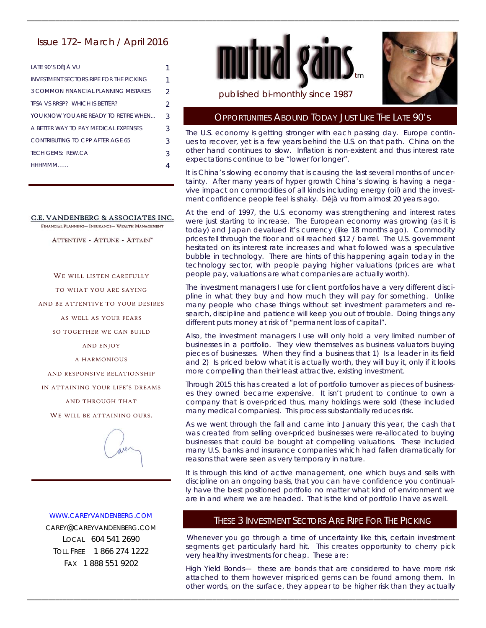# Issue 172– March / April 2016

| LATE 90'S DÉJÀ VU                              |                |
|------------------------------------------------|----------------|
| <b>INVESTMENT SECTORS RIPE FOR THE PICKING</b> | 1              |
| 3 COMMON FINANCIAL PLANNING MISTAKES           | $\mathfrak{D}$ |
| TESA VS RRSP? WHICH IS BETTER?                 | $\mathcal{P}$  |
| YOU KNOW YOU ARE READY TO RETIRE WHEN          | 3              |
| A BETTER WAY TO PAY MEDICAL EXPENSES           | 3              |
| CONTRIBUTING TO CPP AFTER AGE 65               | 3              |
| TECH GEMS: REW CA                              | 3              |
| НННМММ                                         |                |

#### C.E. VANDENBERG & ASSOCIATES INC.

FINANCIAL PLANNING- INSURANCE- WEALTH MANAGEMENT

ATTENTIVE - ATTUNE - ATTAIN"

WE WILL LISTEN CAREFULLY

TO WHAT YOU ARE SAYING

AND BE ATTENTIVE TO YOUR DESIRES

AS WELL AS YOUR FEARS

SO TOGETHER WE CAN BUILD

AND ENJOY

A HARMONIOUS

AND RESPONSIVE RELATIONSHIP

IN ATTAINING YOUR LIFE'S DREAMS

AND THROUGH THAT

WE WILL BE ATTAINING OURS.



WWW.CAREYVANDENBERG.COM CAREY@CAREYVANDENBERG.COM LOCAL 604 541 2690

TOLL FREE 1 866 274 1222 FAX 1 888 551 9202



\_\_\_\_\_\_\_\_\_\_\_\_\_\_\_\_\_\_\_\_\_\_\_\_\_\_\_\_\_\_\_\_\_\_\_\_\_\_\_\_\_\_\_\_\_\_\_\_\_\_\_\_\_\_\_\_\_\_\_\_\_\_\_\_\_\_\_\_\_\_\_\_\_\_\_\_\_\_\_\_\_\_\_\_\_\_\_\_\_\_\_\_\_\_\_\_\_\_\_\_\_\_\_\_\_\_\_\_\_\_\_\_\_\_\_\_\_\_\_\_\_



#### published bi-monthly since 1987

#### OPPORTUNITIES ABOUND TODAY JUST LIKE THE LATE 90'S

The U.S. economy is getting stronger with each passing day. Europe continues to recover, yet is a few years behind the U.S. on that path. China on the other hand continues to slow. Inflation is non-existent and thus interest rate expectations continue to be "lower for longer".

It is China's slowing economy that is causing the last several months of uncertainty. After many years of hyper growth China's slowing is having a negavive impact on commodities of all kinds including energy (oil) and the investment confidence people feel is shaky. Déjà vu from almost 20 years ago.

At the end of 1997, the U.S. economy was strengthening and interest rates were just starting to increase. The European economy was growing (as it is today) and Japan devalued it's currency (like 18 months ago). Commodity prices fell through the floor and oil reached \$12 / barrel. The U.S. government hesitated on its interest rate increases and what followed was a speculative bubble in technology. There are hints of this happening again today in the technology sector, with people paying higher valuations (prices are what people pay, valuations are what companies are actually worth).

The investment managers I use for client portfolios have a very different discipline in what they buy and how much they will pay for something. Unlike many people who chase things without set investment parameters and research, discipline and patience will keep you out of trouble. Doing things any different puts money at risk of "permanent loss of capital".

Also, the investment managers I use will only hold a very limited number of businesses in a portfolio. They view themselves as business valuators buying pieces of businesses. When they find a business that 1) Is a leader in its field and 2) Is priced below what it is actually worth, they will buy it, only if it looks more compelling than their least attractive, existing investment.

Through 2015 this has created a lot of portfolio turnover as pieces of businesses they owned became expensive. It isn't prudent to continue to own a company that is over-priced thus, many holdings were sold (these included many medical companies). This process substantially reduces risk.

As we went through the fall and came into January this year, the cash that was created from selling over-priced businesses were re-allocated to buying businesses that could be bought at compelling valuations. These included many U.S. banks and insurance companies which had fallen dramatically for reasons that were seen as very temporary in nature.

It is through this kind of active management, one which buys and sells with discipline on an ongoing basis, that you can have confidence you continually have the best positioned portfolio no matter what kind of environment we are in and where we are headed. That is the kind of portfolio I have as well.

# THESE 3 INVESTMENT SECTORS ARE RIPE FOR THE PICKING

Whenever you go through a time of uncertainty like this, certain investment segments get particularly hard hit. This creates opportunity to cherry pick very healthy investments for cheap. These are:

High Yield Bonds— these are bonds that are considered to have more risk attached to them however mispriced gems can be found among them. In other words, on the surface, they appear to be higher risk than they actually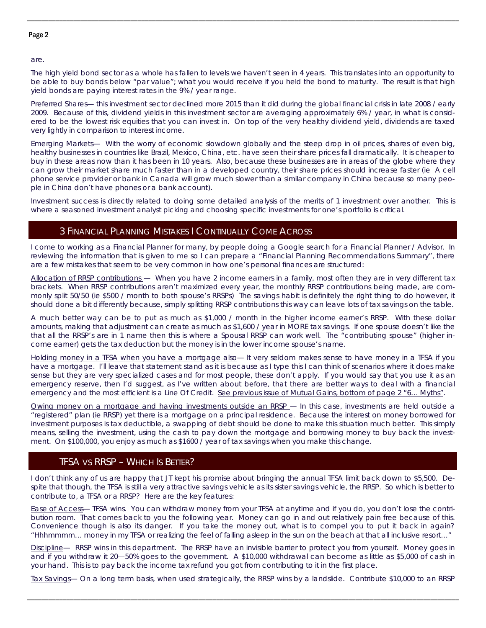#### Page 2

are.

The high yield bond sector as a whole has fallen to levels we haven't seen in 4 years. This translates into an opportunity to be able to buy bonds below "par value"; what you would receive if you held the bond to maturity. The result is that high yield bonds are paying interest rates in the 9% / year range.

\_\_\_\_\_\_\_\_\_\_\_\_\_\_\_\_\_\_\_\_\_\_\_\_\_\_\_\_\_\_\_\_\_\_\_\_\_\_\_\_\_\_\_\_\_\_\_\_\_\_\_\_\_\_\_\_\_\_\_\_\_\_\_\_\_\_\_\_\_\_\_\_\_\_\_\_\_\_\_\_\_\_\_\_\_\_\_\_\_\_\_\_\_\_\_\_\_\_\_\_\_\_\_\_\_\_\_\_\_\_\_\_\_\_\_\_\_\_\_\_\_

Preferred Shares— this investment sector declined more 2015 than it did during the global financial crisis in late 2008 / early 2009. Because of this, dividend yields in this investment sector are averaging approximately 6% / year, in what is considered to be the lowest risk equities that you can invest in. On top of the very healthy dividend yield, dividends are taxed very lightly in comparison to interest income.

Emerging Markets— With the worry of economic slowdown globally and the steep drop in oil prices, shares of even big, healthy businesses in countries like Brazil, Mexico, China, etc. have seen their share prices fall dramatically. It is cheaper to buy in these areas now than it has been in 10 years. Also, because these businesses are in areas of the globe where they can grow their market share much faster than in a developed country, their share prices should increase faster (ie A cell phone service provider or bank in Canada will grow much slower than a similar company in China because so many people in China don't have phones or a bank account).

Investment success is directly related to doing some detailed analysis of the merits of 1 investment over another. This is where a seasoned investment analyst picking and choosing specific investments for one's portfolio is critical.

# 3 FINANCIAL PLANNING MISTAKES I CONTINUALLY COME ACROSS

I come to working as a Financial Planner for many, by people doing a Google search for a Financial Planner / Advisor. In reviewing the information that is given to me so I can prepare a "Financial Planning Recommendations Summary", there are a few mistakes that seem to be very common in how one's personal finances are structured:

Allocation of RRSP contributions — When you have 2 income earners in a family, most often they are in very different tax brackets. When RRSP contributions aren't maximized every year, the monthly RRSP contributions being made, are commonly split 50/50 (ie \$500 / month to both spouse's RRSPs) The savings habit is definitely the right thing to do however, it should done a bit differently because, simply splitting RRSP contributions this way can leave lots of tax savings on the table.

A much better way can be to put as much as \$1,000 / month in the higher income earner's RRSP. With these dollar amounts, making that adjustment can create as much as \$1,600 / year in MORE tax savings. If one spouse doesn't like the that all the RRSP's are in 1 name then this is where a Spousal RRSP can work well. The "contributing spouse" (higher income earner) gets the tax deduction but the money is in the lower income spouse's name.

Holding money in a TFSA when you have a mortgage also— It very seldom makes sense to have money in a TFSA if you have a mortgage. I'll leave that statement stand as it is because as I type this I can think of scenarios where it does make sense but they are very specialized cases and for most people, these don't apply. If you would say that you use it as an emergency reserve, then I'd suggest, as I've written about before, that there are better ways to deal with a financial emergency and the most efficient is a Line Of Credit. See previous issue of Mutual Gains, bottom of page 2 "6... Myths".

Owing money on a mortgage and having investments outside an RRSP - In this case, investments are held outside a "registered" plan (ie RRSP) yet there is a mortgage on a principal residence. Because the interest on money borrowed for investment purposes is tax deductible, a swapping of debt should be done to make this situation much better. This simply means, selling the investment, using the cash to pay down the mortgage and borrowing money to buy back the investment. On \$100,000, you enjoy as much as \$1600 / year of tax savings when you make this change.

# TFSA VS RRSP – WHICH IS BETTER?

I don't think any of us are happy that JT kept his promise about bringing the annual TFSA limit back down to \$5,500. Despite that though, the TFSA is still a very attractive savings vehicle as its sister savings vehicle, the RRSP. So which is better to contribute to, a TFSA or a RRSP? Here are the key features:

Ease of Access— TFSA wins. You can withdraw money from your TFSA at anytime and if you do, you don't lose the contribution room. That comes back to you the following year. Money can go in and out relatively pain free because of this. Convenience though is also its danger. If you take the money out, what is to compel you to put it back in again? "Hhhmmmm… money in my TFSA or realizing the feel of falling asleep in the sun on the beach at that all inclusive resort…"

Discipline- RRSP wins in this department. The RRSP have an invisible barrier to protect you from yourself. Money goes in and if you withdraw it 20—50% goes to the government. A \$10,000 withdrawal can become as little as \$5,000 of cash in your hand. This is to pay back the income tax refund you got from contributing to it in the first place.

Tax Savings— On a long term basis, when used strategically, the RRSP wins by a landslide. Contribute \$10,000 to an RRSP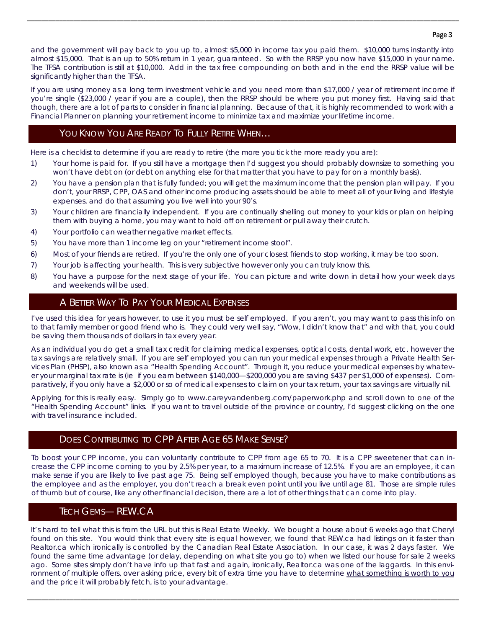#### Page 3

and the government will pay back to you up to, almost \$5,000 in income tax you paid them. \$10,000 turns instantly into almost \$15,000. That is an up to 50% return in 1 year, guaranteed. So with the RRSP you now have \$15,000 in your name. The TFSA contribution is still at \$10,000. Add in the tax free compounding on both and in the end the RRSP value will be significantly higher than the TFSA.

\_\_\_\_\_\_\_\_\_\_\_\_\_\_\_\_\_\_\_\_\_\_\_\_\_\_\_\_\_\_\_\_\_\_\_\_\_\_\_\_\_\_\_\_\_\_\_\_\_\_\_\_\_\_\_\_\_\_\_\_\_\_\_\_\_\_\_\_\_\_\_\_\_\_\_\_\_\_\_\_\_\_\_\_\_\_\_\_\_\_\_\_\_\_\_\_\_\_\_\_\_\_\_\_\_\_\_\_\_\_\_\_\_\_\_\_\_\_\_\_\_

If you are using money as a long term investment vehicle and you need more than \$17,000 / year of retirement income if you're single (\$23,000 / year if you are a couple), then the RRSP should be where you put money first. Having said that though, there are a lot of parts to consider in financial planning. Because of that, it is highly recommended to work with a Financial Planner on planning your retirement income to minimize tax and maximize your lifetime income.

### YOU KNOW YOU ARE READY TO FULLY RETIRE WHEN...

Here is a checklist to determine if you are ready to retire (the more you tick the more ready you are):

- 1) Your home is paid for. If you still have a mortgage then I'd suggest you should probably downsize to something you won't have debt on (or debt on anything else for that matter that you have to pay for on a monthly basis).
- 2) You have a pension plan that is fully funded; you will get the maximum income that the pension plan will pay. If you don't, your RRSP, CPP, OAS and other income producing assets should be able to meet all of your living and lifestyle expenses, and do that assuming you live well into your 90's.
- 3) Your children are financially independent. If you are continually shelling out money to your kids or plan on helping them with buying a home, you may want to hold off on retirement or pull away their crutch.
- 4) Your portfolio can weather negative market effects.
- 5) You have more than 1 income leg on your "retirement income stool".
- 6) Most of your friends are retired. If you're the only one of your closest friends to stop working, it may be too soon.
- 7) Your job is affecting your health. This is very subjective however only you can truly know this.
- 8) You have a purpose for the next stage of your life. You can picture and write down in detail how your week days and weekends will be used.

### A BETTER WAY TO PAY YOUR MEDICAL EXPENSES

I've used this idea for years however, to use it you must be self employed. If you aren't, you may want to pass this info on to that family member or good friend who is. They could very well say, "Wow, I didn't know that" and with that, you could be saving them thousands of dollars in tax every year.

As an individual you do get a small tax credit for claiming medical expenses, optical costs, dental work, etc. however the tax savings are relatively small. If you are self employed you can run your medical expenses through a Private Health Services Plan (PHSP), also known as a "Health Spending Account". Through it, you reduce your medical expenses by whatever your marginal tax rate is (ie if you earn between \$140,000—\$200,000 you are saving \$437 per \$1,000 of expenses). Comparatively, if you only have a \$2,000 or so of medical expenses to claim on your tax return, your tax savings are virtually nil.

Applying for this is really easy. Simply go to www.careyvandenberg.com/paperwork.php and scroll down to one of the "Health Spending Account" links. If you want to travel outside of the province or country, I'd suggest clicking on the one with travel insurance included.

### DOES CONTRIBUTING TO CPP AFTER AGE 65 MAKE SENSE?

To boost your CPP income, you can voluntarily contribute to CPP from age 65 to 70. It is a CPP sweetener that can increase the CPP income coming to you by 2.5% per year, to a maximum increase of 12.5%. If you are an employee, it can make sense if you are likely to live past age 75. Being self employed though, because you have to make contributions as the employee and as the employer, you don't reach a break even point until you live until age 81. Those are simple rules of thumb but of course, like any other financial decision, there are a lot of other things that can come into play.

# TECH GEMS— REW.CA

It's hard to tell what this is from the URL but this is Real Estate Weekly. We bought a house about 6 weeks ago that Cheryl found on this site. You would think that every site is equal however, we found that REW.ca had listings on it faster than Realtor.ca which ironically is controlled by the Canadian Real Estate Association. In our case, it was 2 days faster. We found the same time advantage (or delay, depending on what site you go to) when we listed our house for sale 2 weeks ago. Some sites simply don't have info up that fast and again, ironically, Realtor.ca was one of the laggards. In this environment of multiple offers, over asking price, every bit of extra time you have to determine what something is worth to you and the price it will probably fetch, is to your advantage.